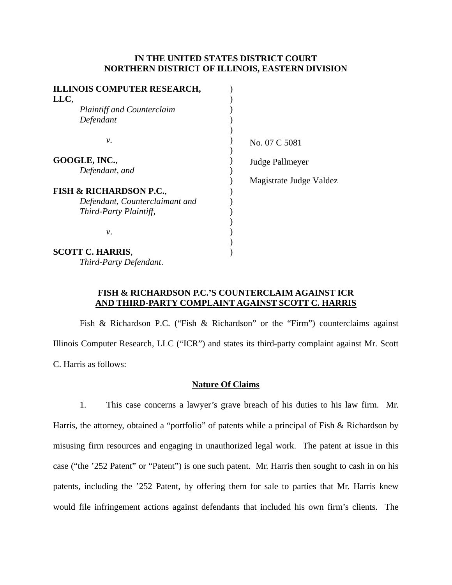### **IN THE UNITED STATES DISTRICT COURT NORTHERN DISTRICT OF ILLINOIS, EASTERN DIVISION**

| <b>ILLINOIS COMPUTER RESEARCH,</b> |                         |
|------------------------------------|-------------------------|
| LLC,                               |                         |
| <b>Plaintiff and Counterclaim</b>  |                         |
| Defendant                          |                         |
| ν.                                 | No. 07 C 5081           |
| GOOGLE, INC.,                      | Judge Pallmeyer         |
| Defendant, and                     |                         |
|                                    | Magistrate Judge Valdez |
| <b>FISH &amp; RICHARDSON P.C.,</b> |                         |
| Defendant, Counterclaimant and     |                         |
| Third-Party Plaintiff,             |                         |
|                                    |                         |
| ν.                                 |                         |
|                                    |                         |
| <b>SCOTT C. HARRIS,</b>            |                         |
| Third-Party Defendant.             |                         |

# **FISH & RICHARDSON P.C.'S COUNTERCLAIM AGAINST ICR AND THIRD-PARTY COMPLAINT AGAINST SCOTT C. HARRIS**

Fish & Richardson P.C. ("Fish & Richardson" or the "Firm") counterclaims against Illinois Computer Research, LLC ("ICR") and states its third-party complaint against Mr. Scott C. Harris as follows:

#### **Nature Of Claims**

1. This case concerns a lawyer's grave breach of his duties to his law firm. Mr. Harris, the attorney, obtained a "portfolio" of patents while a principal of Fish & Richardson by misusing firm resources and engaging in unauthorized legal work. The patent at issue in this case ("the '252 Patent" or "Patent") is one such patent. Mr. Harris then sought to cash in on his patents, including the '252 Patent, by offering them for sale to parties that Mr. Harris knew would file infringement actions against defendants that included his own firm's clients. The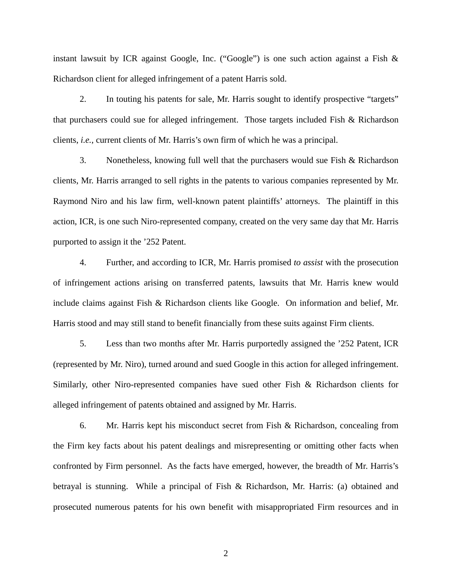instant lawsuit by ICR against Google, Inc. ("Google") is one such action against a Fish & Richardson client for alleged infringement of a patent Harris sold.

2. In touting his patents for sale, Mr. Harris sought to identify prospective "targets" that purchasers could sue for alleged infringement. Those targets included Fish & Richardson clients, *i.e.*, current clients of Mr. Harris's own firm of which he was a principal.

3. Nonetheless, knowing full well that the purchasers would sue Fish & Richardson clients, Mr. Harris arranged to sell rights in the patents to various companies represented by Mr. Raymond Niro and his law firm, well-known patent plaintiffs' attorneys. The plaintiff in this action, ICR, is one such Niro-represented company, created on the very same day that Mr. Harris purported to assign it the '252 Patent.

4. Further, and according to ICR, Mr. Harris promised *to assist* with the prosecution of infringement actions arising on transferred patents, lawsuits that Mr. Harris knew would include claims against Fish & Richardson clients like Google. On information and belief, Mr. Harris stood and may still stand to benefit financially from these suits against Firm clients.

5. Less than two months after Mr. Harris purportedly assigned the '252 Patent, ICR (represented by Mr. Niro), turned around and sued Google in this action for alleged infringement. Similarly, other Niro-represented companies have sued other Fish & Richardson clients for alleged infringement of patents obtained and assigned by Mr. Harris.

6. Mr. Harris kept his misconduct secret from Fish & Richardson, concealing from the Firm key facts about his patent dealings and misrepresenting or omitting other facts when confronted by Firm personnel. As the facts have emerged, however, the breadth of Mr. Harris's betrayal is stunning. While a principal of Fish & Richardson, Mr. Harris: (a) obtained and prosecuted numerous patents for his own benefit with misappropriated Firm resources and in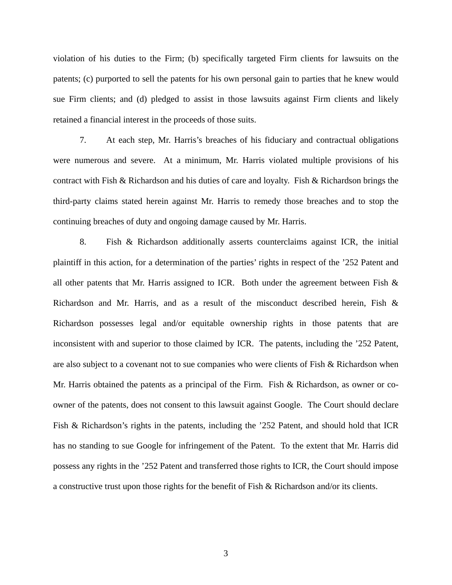violation of his duties to the Firm; (b) specifically targeted Firm clients for lawsuits on the patents; (c) purported to sell the patents for his own personal gain to parties that he knew would sue Firm clients; and (d) pledged to assist in those lawsuits against Firm clients and likely retained a financial interest in the proceeds of those suits.

7. At each step, Mr. Harris's breaches of his fiduciary and contractual obligations were numerous and severe. At a minimum, Mr. Harris violated multiple provisions of his contract with Fish & Richardson and his duties of care and loyalty. Fish & Richardson brings the third-party claims stated herein against Mr. Harris to remedy those breaches and to stop the continuing breaches of duty and ongoing damage caused by Mr. Harris.

8. Fish & Richardson additionally asserts counterclaims against ICR, the initial plaintiff in this action, for a determination of the parties' rights in respect of the '252 Patent and all other patents that Mr. Harris assigned to ICR. Both under the agreement between Fish  $\&$ Richardson and Mr. Harris, and as a result of the misconduct described herein, Fish & Richardson possesses legal and/or equitable ownership rights in those patents that are inconsistent with and superior to those claimed by ICR. The patents, including the '252 Patent, are also subject to a covenant not to sue companies who were clients of Fish & Richardson when Mr. Harris obtained the patents as a principal of the Firm. Fish  $\&$  Richardson, as owner or coowner of the patents, does not consent to this lawsuit against Google. The Court should declare Fish & Richardson's rights in the patents, including the '252 Patent, and should hold that ICR has no standing to sue Google for infringement of the Patent. To the extent that Mr. Harris did possess any rights in the '252 Patent and transferred those rights to ICR, the Court should impose a constructive trust upon those rights for the benefit of Fish & Richardson and/or its clients.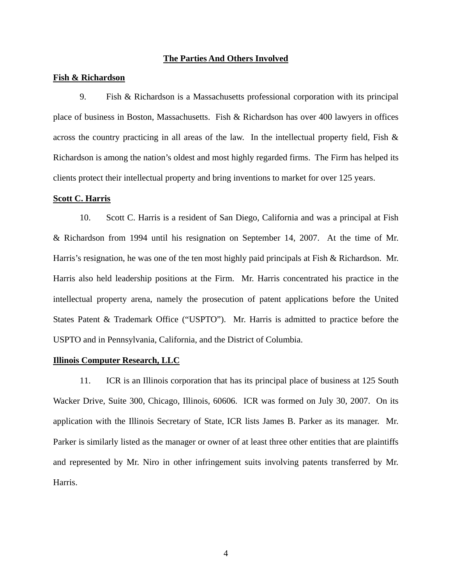#### **The Parties And Others Involved**

#### **Fish & Richardson**

9. Fish & Richardson is a Massachusetts professional corporation with its principal place of business in Boston, Massachusetts. Fish & Richardson has over 400 lawyers in offices across the country practicing in all areas of the law. In the intellectual property field, Fish & Richardson is among the nation's oldest and most highly regarded firms. The Firm has helped its clients protect their intellectual property and bring inventions to market for over 125 years.

#### **Scott C. Harris**

10. Scott C. Harris is a resident of San Diego, California and was a principal at Fish & Richardson from 1994 until his resignation on September 14, 2007. At the time of Mr. Harris's resignation, he was one of the ten most highly paid principals at Fish & Richardson. Mr. Harris also held leadership positions at the Firm. Mr. Harris concentrated his practice in the intellectual property arena, namely the prosecution of patent applications before the United States Patent & Trademark Office ("USPTO"). Mr. Harris is admitted to practice before the USPTO and in Pennsylvania, California, and the District of Columbia.

#### **Illinois Computer Research, LLC**

11. ICR is an Illinois corporation that has its principal place of business at 125 South Wacker Drive, Suite 300, Chicago, Illinois, 60606. ICR was formed on July 30, 2007. On its application with the Illinois Secretary of State, ICR lists James B. Parker as its manager. Mr. Parker is similarly listed as the manager or owner of at least three other entities that are plaintiffs and represented by Mr. Niro in other infringement suits involving patents transferred by Mr. Harris.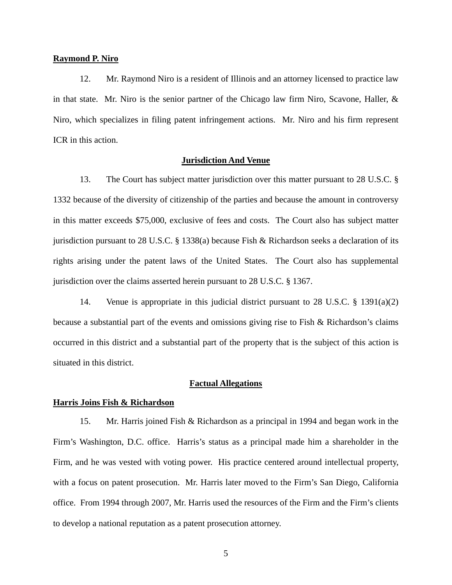#### **Raymond P. Niro**

12. Mr. Raymond Niro is a resident of Illinois and an attorney licensed to practice law in that state. Mr. Niro is the senior partner of the Chicago law firm Niro, Scavone, Haller, & Niro, which specializes in filing patent infringement actions. Mr. Niro and his firm represent ICR in this action.

### **Jurisdiction And Venue**

13. The Court has subject matter jurisdiction over this matter pursuant to 28 U.S.C. § 1332 because of the diversity of citizenship of the parties and because the amount in controversy in this matter exceeds \$75,000, exclusive of fees and costs. The Court also has subject matter jurisdiction pursuant to 28 U.S.C. § 1338(a) because Fish & Richardson seeks a declaration of its rights arising under the patent laws of the United States. The Court also has supplemental jurisdiction over the claims asserted herein pursuant to 28 U.S.C. § 1367.

14. Venue is appropriate in this judicial district pursuant to 28 U.S.C. § 1391(a)(2) because a substantial part of the events and omissions giving rise to Fish  $\&$  Richardson's claims occurred in this district and a substantial part of the property that is the subject of this action is situated in this district.

### **Factual Allegations**

### **Harris Joins Fish & Richardson**

15. Mr. Harris joined Fish & Richardson as a principal in 1994 and began work in the Firm's Washington, D.C. office. Harris's status as a principal made him a shareholder in the Firm, and he was vested with voting power. His practice centered around intellectual property, with a focus on patent prosecution. Mr. Harris later moved to the Firm's San Diego, California office. From 1994 through 2007, Mr. Harris used the resources of the Firm and the Firm's clients to develop a national reputation as a patent prosecution attorney.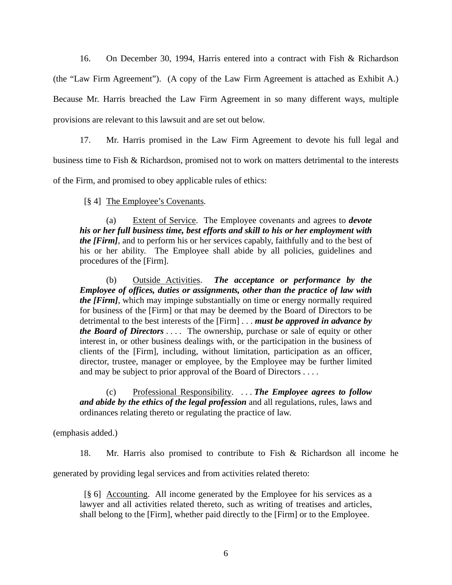16. On December 30, 1994, Harris entered into a contract with Fish & Richardson (the "Law Firm Agreement"). (A copy of the Law Firm Agreement is attached as Exhibit A.) Because Mr. Harris breached the Law Firm Agreement in so many different ways, multiple provisions are relevant to this lawsuit and are set out below.

17. Mr. Harris promised in the Law Firm Agreement to devote his full legal and

business time to Fish & Richardson, promised not to work on matters detrimental to the interests

of the Firm, and promised to obey applicable rules of ethics:

# [§ 4] The Employee's Covenants.

 (a) Extent of Service. The Employee covenants and agrees to *devote his or her full business time, best efforts and skill to his or her employment with the [Firm],* and to perform his or her services capably, faithfully and to the best of his or her ability. The Employee shall abide by all policies, guidelines and procedures of the [Firm].

 (b) Outside Activities. *The acceptance or performance by the Employee of offices, duties or assignments, other than the practice of law with the [Firm]*, which may impinge substantially on time or energy normally required for business of the [Firm] or that may be deemed by the Board of Directors to be detrimental to the best interests of the [Firm] . . . *must be approved in advance by the Board of Directors* . . . . The ownership, purchase or sale of equity or other interest in, or other business dealings with, or the participation in the business of clients of the [Firm], including, without limitation, participation as an officer, director, trustee, manager or employee, by the Employee may be further limited and may be subject to prior approval of the Board of Directors . . . .

 (c) Professional Responsibility. . . . *The Employee agrees to follow and abide by the ethics of the legal profession* and all regulations, rules, laws and ordinances relating thereto or regulating the practice of law.

(emphasis added.)

18. Mr. Harris also promised to contribute to Fish & Richardson all income he

generated by providing legal services and from activities related thereto:

 [§ 6] Accounting. All income generated by the Employee for his services as a lawyer and all activities related thereto, such as writing of treatises and articles, shall belong to the [Firm], whether paid directly to the [Firm] or to the Employee.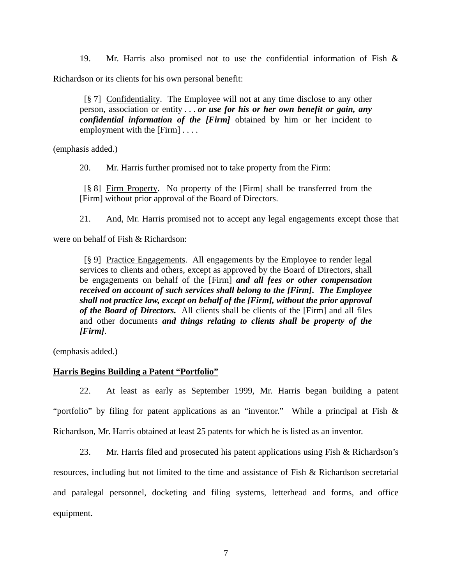19. Mr. Harris also promised not to use the confidential information of Fish & Richardson or its clients for his own personal benefit:

 [§ 7] Confidentiality. The Employee will not at any time disclose to any other person, association or entity . . . *or use for his or her own benefit or gain, any confidential information of the [Firm]* obtained by him or her incident to employment with the [Firm] . . . .

(emphasis added.)

20. Mr. Harris further promised not to take property from the Firm:

 [§ 8] Firm Property. No property of the [Firm] shall be transferred from the [Firm] without prior approval of the Board of Directors.

21. And, Mr. Harris promised not to accept any legal engagements except those that

were on behalf of Fish & Richardson:

 [§ 9] Practice Engagements. All engagements by the Employee to render legal services to clients and others, except as approved by the Board of Directors, shall be engagements on behalf of the [Firm] *and all fees or other compensation received on account of such services shall belong to the [Firm]***.** *The Employee shall not practice law, except on behalf of the [Firm], without the prior approval of the Board of Directors.* All clients shall be clients of the [Firm] and all files and other documents *and things relating to clients shall be property of the [Firm]*.

(emphasis added.)

# **Harris Begins Building a Patent "Portfolio"**

22. At least as early as September 1999, Mr. Harris began building a patent "portfolio" by filing for patent applications as an "inventor." While a principal at Fish & Richardson, Mr. Harris obtained at least 25 patents for which he is listed as an inventor.

23. Mr. Harris filed and prosecuted his patent applications using Fish & Richardson's resources, including but not limited to the time and assistance of Fish & Richardson secretarial and paralegal personnel, docketing and filing systems, letterhead and forms, and office equipment.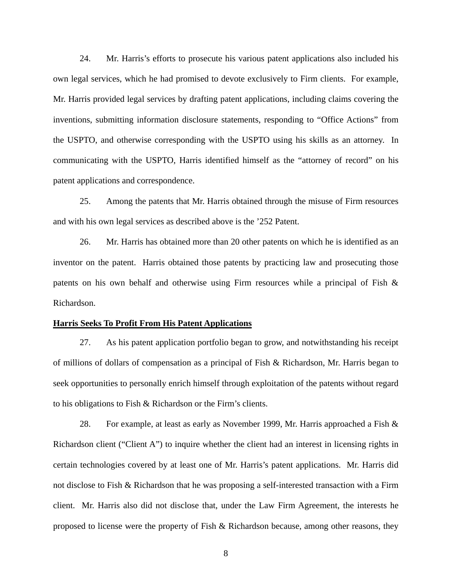24. Mr. Harris's efforts to prosecute his various patent applications also included his own legal services, which he had promised to devote exclusively to Firm clients. For example, Mr. Harris provided legal services by drafting patent applications, including claims covering the inventions, submitting information disclosure statements, responding to "Office Actions" from the USPTO, and otherwise corresponding with the USPTO using his skills as an attorney. In communicating with the USPTO, Harris identified himself as the "attorney of record" on his patent applications and correspondence.

25. Among the patents that Mr. Harris obtained through the misuse of Firm resources and with his own legal services as described above is the '252 Patent.

26. Mr. Harris has obtained more than 20 other patents on which he is identified as an inventor on the patent. Harris obtained those patents by practicing law and prosecuting those patents on his own behalf and otherwise using Firm resources while a principal of Fish & Richardson.

#### **Harris Seeks To Profit From His Patent Applications**

27. As his patent application portfolio began to grow, and notwithstanding his receipt of millions of dollars of compensation as a principal of Fish & Richardson, Mr. Harris began to seek opportunities to personally enrich himself through exploitation of the patents without regard to his obligations to Fish & Richardson or the Firm's clients.

28. For example, at least as early as November 1999, Mr. Harris approached a Fish & Richardson client ("Client A") to inquire whether the client had an interest in licensing rights in certain technologies covered by at least one of Mr. Harris's patent applications. Mr. Harris did not disclose to Fish & Richardson that he was proposing a self-interested transaction with a Firm client. Mr. Harris also did not disclose that, under the Law Firm Agreement, the interests he proposed to license were the property of Fish & Richardson because, among other reasons, they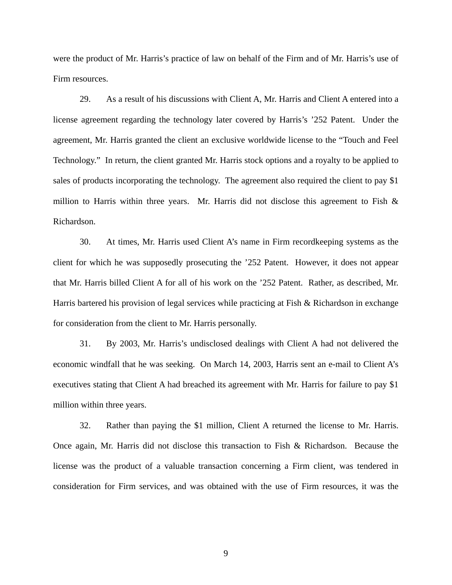were the product of Mr. Harris's practice of law on behalf of the Firm and of Mr. Harris's use of Firm resources.

29. As a result of his discussions with Client A, Mr. Harris and Client A entered into a license agreement regarding the technology later covered by Harris's '252 Patent. Under the agreement, Mr. Harris granted the client an exclusive worldwide license to the "Touch and Feel Technology." In return, the client granted Mr. Harris stock options and a royalty to be applied to sales of products incorporating the technology. The agreement also required the client to pay \$1 million to Harris within three years. Mr. Harris did not disclose this agreement to Fish  $\&$ Richardson.

30. At times, Mr. Harris used Client A's name in Firm recordkeeping systems as the client for which he was supposedly prosecuting the '252 Patent. However, it does not appear that Mr. Harris billed Client A for all of his work on the '252 Patent. Rather, as described, Mr. Harris bartered his provision of legal services while practicing at Fish & Richardson in exchange for consideration from the client to Mr. Harris personally.

31. By 2003, Mr. Harris's undisclosed dealings with Client A had not delivered the economic windfall that he was seeking. On March 14, 2003, Harris sent an e-mail to Client A's executives stating that Client A had breached its agreement with Mr. Harris for failure to pay \$1 million within three years.

32. Rather than paying the \$1 million, Client A returned the license to Mr. Harris. Once again, Mr. Harris did not disclose this transaction to Fish & Richardson. Because the license was the product of a valuable transaction concerning a Firm client, was tendered in consideration for Firm services, and was obtained with the use of Firm resources, it was the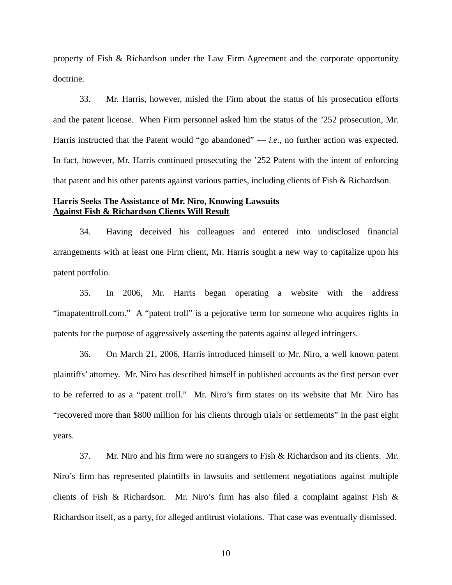property of Fish & Richardson under the Law Firm Agreement and the corporate opportunity doctrine.

33. Mr. Harris, however, misled the Firm about the status of his prosecution efforts and the patent license. When Firm personnel asked him the status of the '252 prosecution, Mr. Harris instructed that the Patent would "go abandoned" — *i.e.*, no further action was expected. In fact, however, Mr. Harris continued prosecuting the '252 Patent with the intent of enforcing that patent and his other patents against various parties, including clients of Fish & Richardson.

# **Harris Seeks The Assistance of Mr. Niro, Knowing Lawsuits Against Fish & Richardson Clients Will Result**

34. Having deceived his colleagues and entered into undisclosed financial arrangements with at least one Firm client, Mr. Harris sought a new way to capitalize upon his patent portfolio.

35. In 2006, Mr. Harris began operating a website with the address "imapatenttroll.com." A "patent troll" is a pejorative term for someone who acquires rights in patents for the purpose of aggressively asserting the patents against alleged infringers.

36. On March 21, 2006, Harris introduced himself to Mr. Niro, a well known patent plaintiffs' attorney. Mr. Niro has described himself in published accounts as the first person ever to be referred to as a "patent troll." Mr. Niro's firm states on its website that Mr. Niro has "recovered more than \$800 million for his clients through trials or settlements" in the past eight years.

37. Mr. Niro and his firm were no strangers to Fish & Richardson and its clients. Mr. Niro's firm has represented plaintiffs in lawsuits and settlement negotiations against multiple clients of Fish & Richardson. Mr. Niro's firm has also filed a complaint against Fish & Richardson itself, as a party, for alleged antitrust violations. That case was eventually dismissed.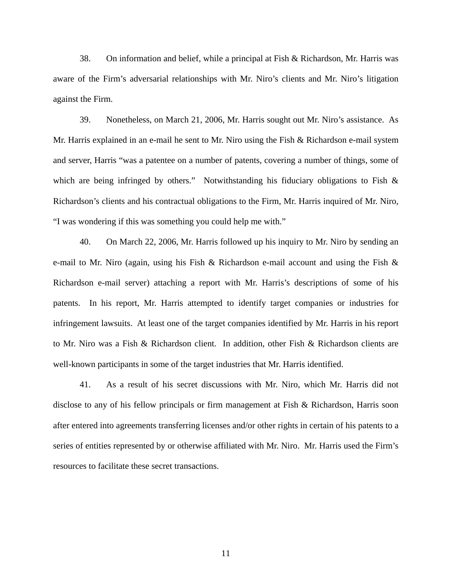38. On information and belief, while a principal at Fish & Richardson, Mr. Harris was aware of the Firm's adversarial relationships with Mr. Niro's clients and Mr. Niro's litigation against the Firm.

39. Nonetheless, on March 21, 2006, Mr. Harris sought out Mr. Niro's assistance. As Mr. Harris explained in an e-mail he sent to Mr. Niro using the Fish & Richardson e-mail system and server, Harris "was a patentee on a number of patents, covering a number of things, some of which are being infringed by others." Notwithstanding his fiduciary obligations to Fish & Richardson's clients and his contractual obligations to the Firm, Mr. Harris inquired of Mr. Niro, "I was wondering if this was something you could help me with."

40. On March 22, 2006, Mr. Harris followed up his inquiry to Mr. Niro by sending an e-mail to Mr. Niro (again, using his Fish & Richardson e-mail account and using the Fish & Richardson e-mail server) attaching a report with Mr. Harris's descriptions of some of his patents. In his report, Mr. Harris attempted to identify target companies or industries for infringement lawsuits. At least one of the target companies identified by Mr. Harris in his report to Mr. Niro was a Fish & Richardson client. In addition, other Fish & Richardson clients are well-known participants in some of the target industries that Mr. Harris identified.

41. As a result of his secret discussions with Mr. Niro, which Mr. Harris did not disclose to any of his fellow principals or firm management at Fish & Richardson, Harris soon after entered into agreements transferring licenses and/or other rights in certain of his patents to a series of entities represented by or otherwise affiliated with Mr. Niro. Mr. Harris used the Firm's resources to facilitate these secret transactions.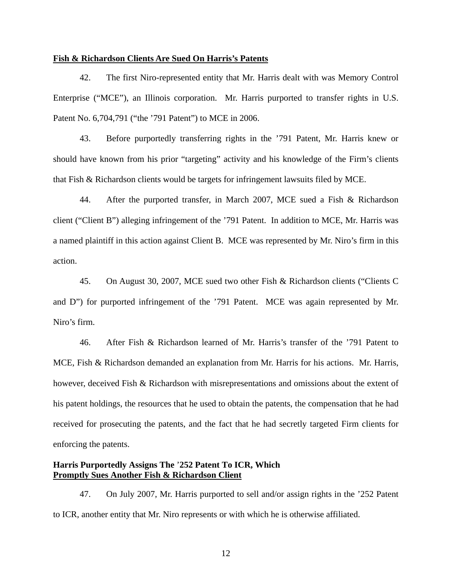#### **Fish & Richardson Clients Are Sued On Harris's Patents**

42. The first Niro-represented entity that Mr. Harris dealt with was Memory Control Enterprise ("MCE"), an Illinois corporation. Mr. Harris purported to transfer rights in U.S. Patent No. 6,704,791 ("the '791 Patent") to MCE in 2006.

43. Before purportedly transferring rights in the '791 Patent, Mr. Harris knew or should have known from his prior "targeting" activity and his knowledge of the Firm's clients that Fish & Richardson clients would be targets for infringement lawsuits filed by MCE.

44. After the purported transfer, in March 2007, MCE sued a Fish & Richardson client ("Client B") alleging infringement of the '791 Patent. In addition to MCE, Mr. Harris was a named plaintiff in this action against Client B. MCE was represented by Mr. Niro's firm in this action.

45. On August 30, 2007, MCE sued two other Fish & Richardson clients ("Clients C and D") for purported infringement of the '791 Patent. MCE was again represented by Mr. Niro's firm.

46. After Fish & Richardson learned of Mr. Harris's transfer of the '791 Patent to MCE, Fish & Richardson demanded an explanation from Mr. Harris for his actions. Mr. Harris, however, deceived Fish & Richardson with misrepresentations and omissions about the extent of his patent holdings, the resources that he used to obtain the patents, the compensation that he had received for prosecuting the patents, and the fact that he had secretly targeted Firm clients for enforcing the patents.

# **Harris Purportedly Assigns The** '**252 Patent To ICR, Which Promptly Sues Another Fish & Richardson Client**

47. On July 2007, Mr. Harris purported to sell and/or assign rights in the '252 Patent to ICR, another entity that Mr. Niro represents or with which he is otherwise affiliated.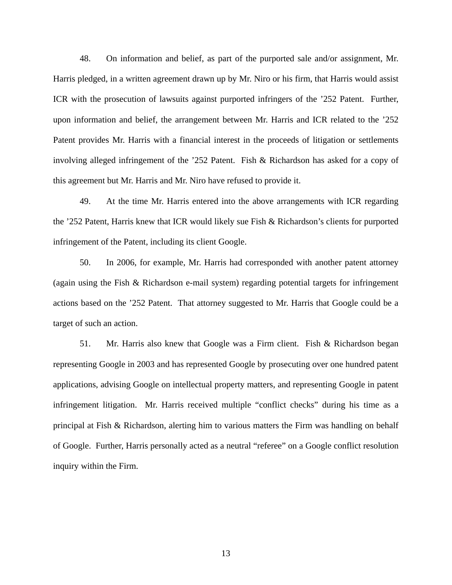48. On information and belief, as part of the purported sale and/or assignment, Mr. Harris pledged, in a written agreement drawn up by Mr. Niro or his firm, that Harris would assist ICR with the prosecution of lawsuits against purported infringers of the '252 Patent. Further, upon information and belief, the arrangement between Mr. Harris and ICR related to the '252 Patent provides Mr. Harris with a financial interest in the proceeds of litigation or settlements involving alleged infringement of the '252 Patent. Fish & Richardson has asked for a copy of this agreement but Mr. Harris and Mr. Niro have refused to provide it.

49. At the time Mr. Harris entered into the above arrangements with ICR regarding the '252 Patent, Harris knew that ICR would likely sue Fish & Richardson's clients for purported infringement of the Patent, including its client Google.

50. In 2006, for example, Mr. Harris had corresponded with another patent attorney (again using the Fish & Richardson e-mail system) regarding potential targets for infringement actions based on the '252 Patent. That attorney suggested to Mr. Harris that Google could be a target of such an action.

51. Mr. Harris also knew that Google was a Firm client. Fish & Richardson began representing Google in 2003 and has represented Google by prosecuting over one hundred patent applications, advising Google on intellectual property matters, and representing Google in patent infringement litigation. Mr. Harris received multiple "conflict checks" during his time as a principal at Fish & Richardson, alerting him to various matters the Firm was handling on behalf of Google. Further, Harris personally acted as a neutral "referee" on a Google conflict resolution inquiry within the Firm.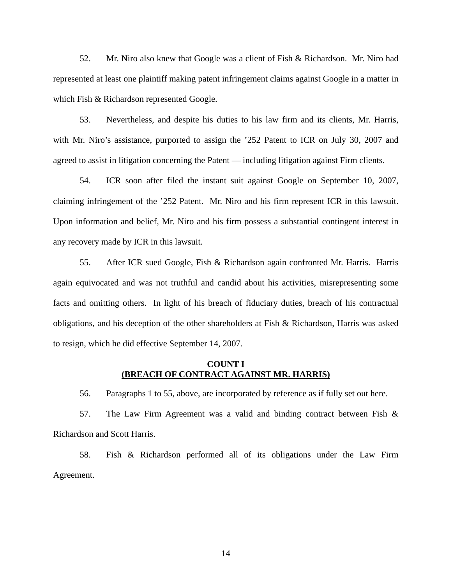52. Mr. Niro also knew that Google was a client of Fish & Richardson. Mr. Niro had represented at least one plaintiff making patent infringement claims against Google in a matter in which Fish & Richardson represented Google.

53. Nevertheless, and despite his duties to his law firm and its clients, Mr. Harris, with Mr. Niro's assistance, purported to assign the '252 Patent to ICR on July 30, 2007 and agreed to assist in litigation concerning the Patent — including litigation against Firm clients.

54. ICR soon after filed the instant suit against Google on September 10, 2007, claiming infringement of the '252 Patent. Mr. Niro and his firm represent ICR in this lawsuit. Upon information and belief, Mr. Niro and his firm possess a substantial contingent interest in any recovery made by ICR in this lawsuit.

55. After ICR sued Google, Fish & Richardson again confronted Mr. Harris. Harris again equivocated and was not truthful and candid about his activities, misrepresenting some facts and omitting others. In light of his breach of fiduciary duties, breach of his contractual obligations, and his deception of the other shareholders at Fish & Richardson, Harris was asked to resign, which he did effective September 14, 2007.

### **COUNT I (BREACH OF CONTRACT AGAINST MR. HARRIS)**

56. Paragraphs 1 to 55, above, are incorporated by reference as if fully set out here.

57. The Law Firm Agreement was a valid and binding contract between Fish & Richardson and Scott Harris.

58. Fish & Richardson performed all of its obligations under the Law Firm Agreement.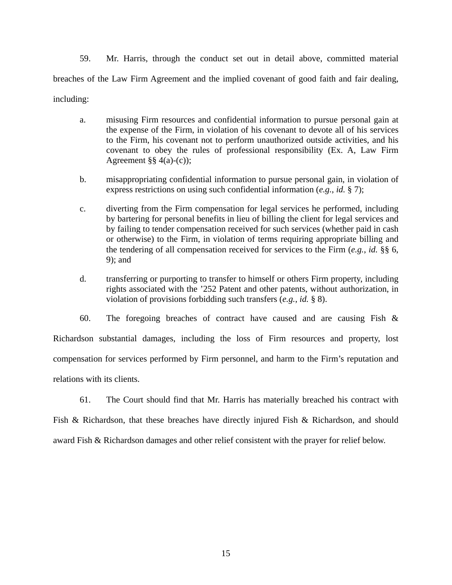59. Mr. Harris, through the conduct set out in detail above, committed material breaches of the Law Firm Agreement and the implied covenant of good faith and fair dealing, including:

- a. misusing Firm resources and confidential information to pursue personal gain at the expense of the Firm, in violation of his covenant to devote all of his services to the Firm, his covenant not to perform unauthorized outside activities, and his covenant to obey the rules of professional responsibility (Ex. A, Law Firm Agreement  $\S$ § 4(a)-(c));
- b. misappropriating confidential information to pursue personal gain, in violation of express restrictions on using such confidential information (*e.g.*, *id.* § 7);
- c. diverting from the Firm compensation for legal services he performed, including by bartering for personal benefits in lieu of billing the client for legal services and by failing to tender compensation received for such services (whether paid in cash or otherwise) to the Firm, in violation of terms requiring appropriate billing and the tendering of all compensation received for services to the Firm (*e.g.*, *id.* §§ 6, 9); and
- d. transferring or purporting to transfer to himself or others Firm property, including rights associated with the '252 Patent and other patents, without authorization, in violation of provisions forbidding such transfers (*e.g.*, *id.* § 8).

60. The foregoing breaches of contract have caused and are causing Fish & Richardson substantial damages, including the loss of Firm resources and property, lost compensation for services performed by Firm personnel, and harm to the Firm's reputation and relations with its clients.

61. The Court should find that Mr. Harris has materially breached his contract with Fish & Richardson, that these breaches have directly injured Fish & Richardson, and should award Fish & Richardson damages and other relief consistent with the prayer for relief below.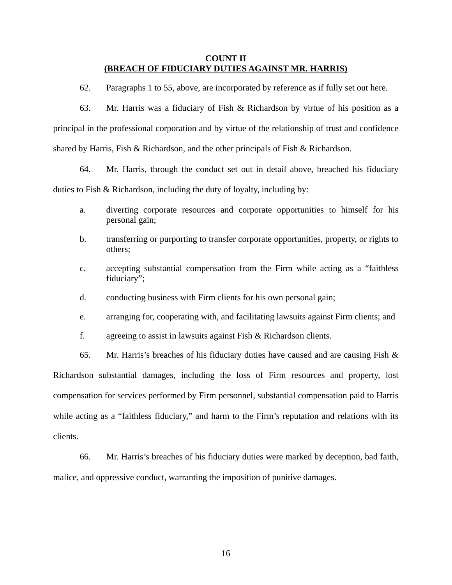# **COUNT II (BREACH OF FIDUCIARY DUTIES AGAINST MR. HARRIS)**

62. Paragraphs 1 to 55, above, are incorporated by reference as if fully set out here.

63. Mr. Harris was a fiduciary of Fish & Richardson by virtue of his position as a principal in the professional corporation and by virtue of the relationship of trust and confidence shared by Harris, Fish & Richardson, and the other principals of Fish & Richardson.

64. Mr. Harris, through the conduct set out in detail above, breached his fiduciary duties to Fish & Richardson, including the duty of loyalty, including by:

- a. diverting corporate resources and corporate opportunities to himself for his personal gain;
- b. transferring or purporting to transfer corporate opportunities, property, or rights to others;
- c. accepting substantial compensation from the Firm while acting as a "faithless fiduciary";
- d. conducting business with Firm clients for his own personal gain;
- e. arranging for, cooperating with, and facilitating lawsuits against Firm clients; and
- f. agreeing to assist in lawsuits against Fish & Richardson clients.

65. Mr. Harris's breaches of his fiduciary duties have caused and are causing Fish  $\&$ Richardson substantial damages, including the loss of Firm resources and property, lost compensation for services performed by Firm personnel, substantial compensation paid to Harris while acting as a "faithless fiduciary," and harm to the Firm's reputation and relations with its clients.

66. Mr. Harris's breaches of his fiduciary duties were marked by deception, bad faith, malice, and oppressive conduct, warranting the imposition of punitive damages.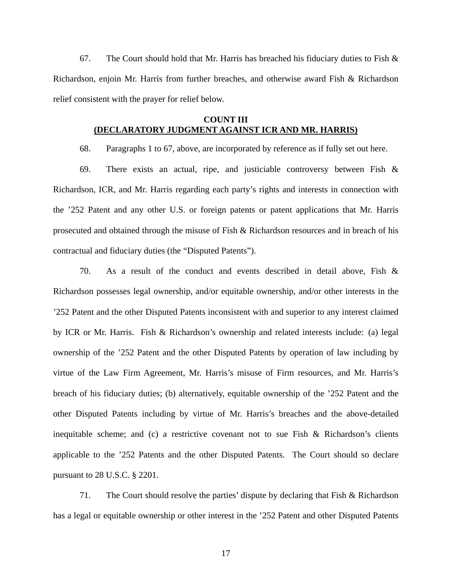67. The Court should hold that Mr. Harris has breached his fiduciary duties to Fish  $\&$ Richardson, enjoin Mr. Harris from further breaches, and otherwise award Fish & Richardson relief consistent with the prayer for relief below.

# **COUNT III (DECLARATORY JUDGMENT AGAINST ICR AND MR. HARRIS)**

68. Paragraphs 1 to 67, above, are incorporated by reference as if fully set out here.

69. There exists an actual, ripe, and justiciable controversy between Fish & Richardson, ICR, and Mr. Harris regarding each party's rights and interests in connection with the '252 Patent and any other U.S. or foreign patents or patent applications that Mr. Harris prosecuted and obtained through the misuse of Fish & Richardson resources and in breach of his contractual and fiduciary duties (the "Disputed Patents").

70. As a result of the conduct and events described in detail above, Fish & Richardson possesses legal ownership, and/or equitable ownership, and/or other interests in the '252 Patent and the other Disputed Patents inconsistent with and superior to any interest claimed by ICR or Mr. Harris. Fish & Richardson's ownership and related interests include: (a) legal ownership of the '252 Patent and the other Disputed Patents by operation of law including by virtue of the Law Firm Agreement, Mr. Harris's misuse of Firm resources, and Mr. Harris's breach of his fiduciary duties; (b) alternatively, equitable ownership of the '252 Patent and the other Disputed Patents including by virtue of Mr. Harris's breaches and the above-detailed inequitable scheme; and (c) a restrictive covenant not to sue Fish & Richardson's clients applicable to the '252 Patents and the other Disputed Patents. The Court should so declare pursuant to 28 U.S.C. § 2201.

71. The Court should resolve the parties' dispute by declaring that Fish & Richardson has a legal or equitable ownership or other interest in the '252 Patent and other Disputed Patents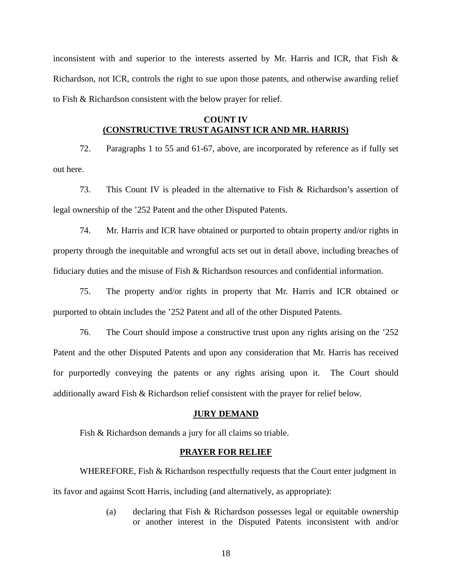inconsistent with and superior to the interests asserted by Mr. Harris and ICR, that Fish  $\&$ Richardson, not ICR, controls the right to sue upon those patents, and otherwise awarding relief to Fish & Richardson consistent with the below prayer for relief.

# **COUNT IV (CONSTRUCTIVE TRUST AGAINST ICR AND MR. HARRIS)**

72. Paragraphs 1 to 55 and 61-67, above, are incorporated by reference as if fully set out here.

73. This Count IV is pleaded in the alternative to Fish & Richardson's assertion of legal ownership of the '252 Patent and the other Disputed Patents.

74. Mr. Harris and ICR have obtained or purported to obtain property and/or rights in property through the inequitable and wrongful acts set out in detail above, including breaches of fiduciary duties and the misuse of Fish & Richardson resources and confidential information.

75. The property and/or rights in property that Mr. Harris and ICR obtained or purported to obtain includes the '252 Patent and all of the other Disputed Patents.

76. The Court should impose a constructive trust upon any rights arising on the '252 Patent and the other Disputed Patents and upon any consideration that Mr. Harris has received for purportedly conveying the patents or any rights arising upon it. The Court should additionally award Fish & Richardson relief consistent with the prayer for relief below.

### **JURY DEMAND**

Fish & Richardson demands a jury for all claims so triable.

#### **PRAYER FOR RELIEF**

WHEREFORE, Fish & Richardson respectfully requests that the Court enter judgment in its favor and against Scott Harris, including (and alternatively, as appropriate):

> (a) declaring that Fish & Richardson possesses legal or equitable ownership or another interest in the Disputed Patents inconsistent with and/or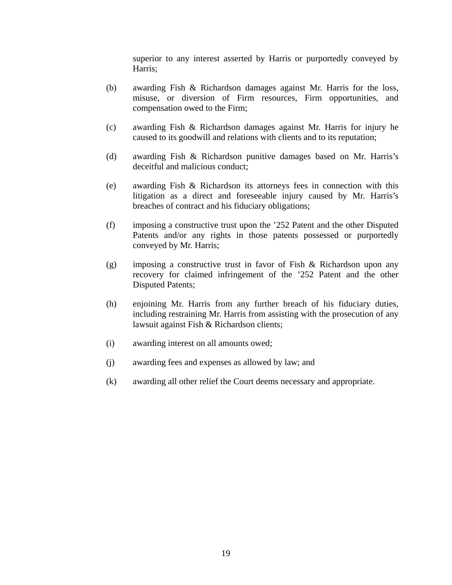superior to any interest asserted by Harris or purportedly conveyed by Harris;

- (b) awarding Fish & Richardson damages against Mr. Harris for the loss, misuse, or diversion of Firm resources, Firm opportunities, and compensation owed to the Firm;
- (c) awarding Fish & Richardson damages against Mr. Harris for injury he caused to its goodwill and relations with clients and to its reputation;
- (d) awarding Fish & Richardson punitive damages based on Mr. Harris's deceitful and malicious conduct;
- (e) awarding Fish & Richardson its attorneys fees in connection with this litigation as a direct and foreseeable injury caused by Mr. Harris's breaches of contract and his fiduciary obligations;
- (f) imposing a constructive trust upon the '252 Patent and the other Disputed Patents and/or any rights in those patents possessed or purportedly conveyed by Mr. Harris;
- (g) imposing a constructive trust in favor of Fish & Richardson upon any recovery for claimed infringement of the '252 Patent and the other Disputed Patents;
- (h) enjoining Mr. Harris from any further breach of his fiduciary duties, including restraining Mr. Harris from assisting with the prosecution of any lawsuit against Fish & Richardson clients;
- (i) awarding interest on all amounts owed;
- (j) awarding fees and expenses as allowed by law; and
- (k) awarding all other relief the Court deems necessary and appropriate.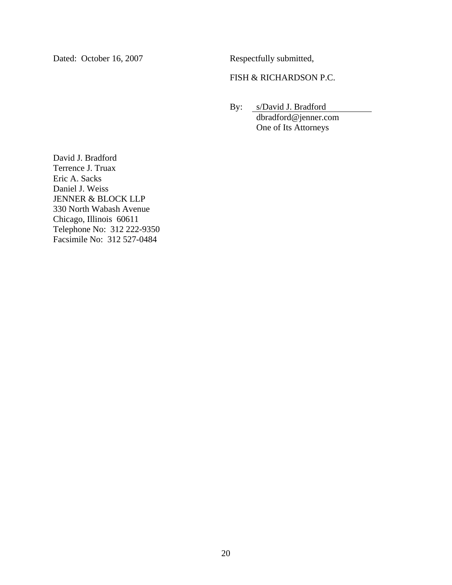Dated: October 16, 2007 Respectfully submitted,

# FISH & RICHARDSON P.C.

 By: s/David J. Bradford dbradford@jenner.com One of Its Attorneys

David J. Bradford Terrence J. Truax Eric A. Sacks Daniel J. Weiss JENNER & BLOCK LLP 330 North Wabash Avenue Chicago, Illinois 60611 Telephone No: 312 222-9350 Facsimile No: 312 527-0484